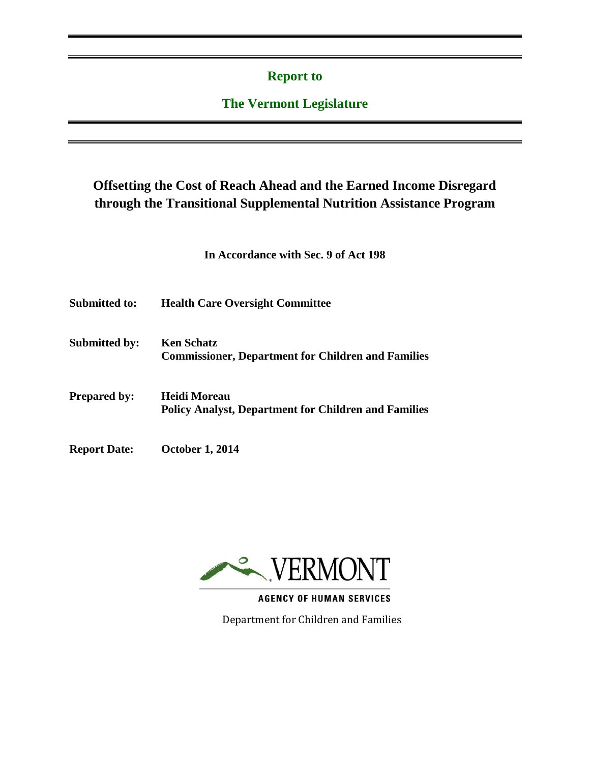### **Report to**

### **The Vermont Legislature**

## **Offsetting the Cost of Reach Ahead and the Earned Income Disregard through the Transitional Supplemental Nutrition Assistance Program**

**In Accordance with Sec. 9 of Act 198**

| <b>Submitted to:</b> | <b>Health Care Oversight Committee</b> |
|----------------------|----------------------------------------|
|----------------------|----------------------------------------|

**Submitted by: Ken Schatz Commissioner, Department for Children and Families**

- **Prepared by: Heidi Moreau Policy Analyst, Department for Children and Families**
- **Report Date: October 1, 2014**



**AGENCY OF HUMAN SERVICES** 

Department for Children and Families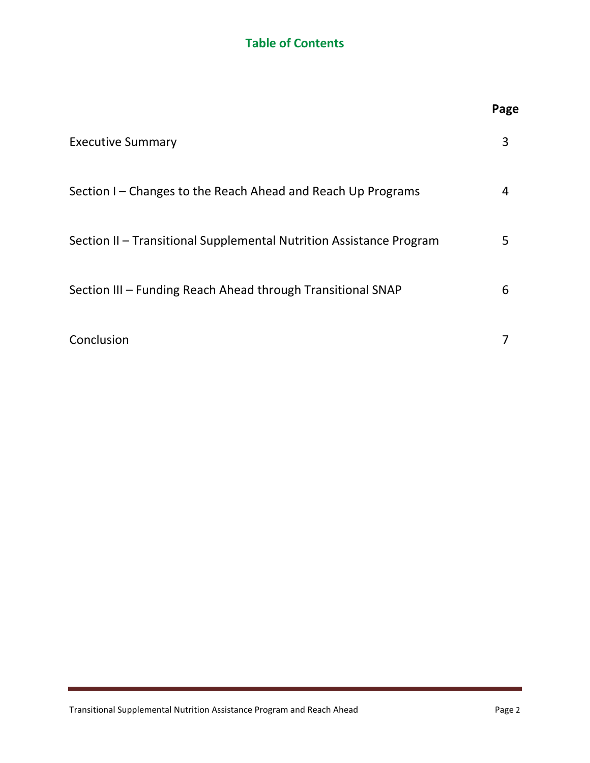## **Table of Contents**

|                                                                     | Page |
|---------------------------------------------------------------------|------|
| <b>Executive Summary</b>                                            | 3    |
| Section I – Changes to the Reach Ahead and Reach Up Programs        | 4    |
| Section II – Transitional Supplemental Nutrition Assistance Program | 5    |
| Section III - Funding Reach Ahead through Transitional SNAP         | 6    |
| Conclusion                                                          |      |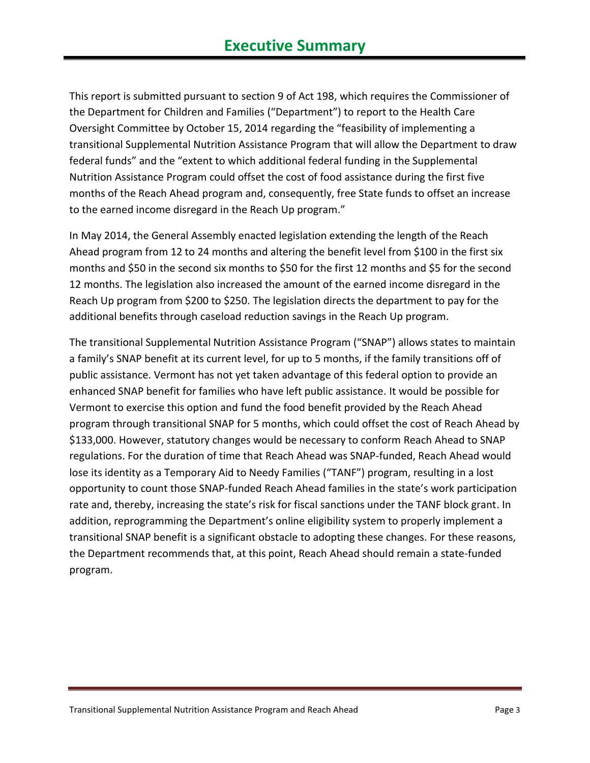This report is submitted pursuant to section 9 of Act 198, which requires the Commissioner of the Department for Children and Families ("Department") to report to the Health Care Oversight Committee by October 15, 2014 regarding the "feasibility of implementing a transitional Supplemental Nutrition Assistance Program that will allow the Department to draw federal funds" and the "extent to which additional federal funding in the Supplemental Nutrition Assistance Program could offset the cost of food assistance during the first five months of the Reach Ahead program and, consequently, free State funds to offset an increase to the earned income disregard in the Reach Up program."

In May 2014, the General Assembly enacted legislation extending the length of the Reach Ahead program from 12 to 24 months and altering the benefit level from \$100 in the first six months and \$50 in the second six months to \$50 for the first 12 months and \$5 for the second 12 months. The legislation also increased the amount of the earned income disregard in the Reach Up program from \$200 to \$250. The legislation directs the department to pay for the additional benefits through caseload reduction savings in the Reach Up program.

The transitional Supplemental Nutrition Assistance Program ("SNAP") allows states to maintain a family's SNAP benefit at its current level, for up to 5 months, if the family transitions off of public assistance. Vermont has not yet taken advantage of this federal option to provide an enhanced SNAP benefit for families who have left public assistance. It would be possible for Vermont to exercise this option and fund the food benefit provided by the Reach Ahead program through transitional SNAP for 5 months, which could offset the cost of Reach Ahead by \$133,000. However, statutory changes would be necessary to conform Reach Ahead to SNAP regulations. For the duration of time that Reach Ahead was SNAP-funded, Reach Ahead would lose its identity as a Temporary Aid to Needy Families ("TANF") program, resulting in a lost opportunity to count those SNAP-funded Reach Ahead families in the state's work participation rate and, thereby, increasing the state's risk for fiscal sanctions under the TANF block grant. In addition, reprogramming the Department's online eligibility system to properly implement a transitional SNAP benefit is a significant obstacle to adopting these changes. For these reasons, the Department recommends that, at this point, Reach Ahead should remain a state-funded program.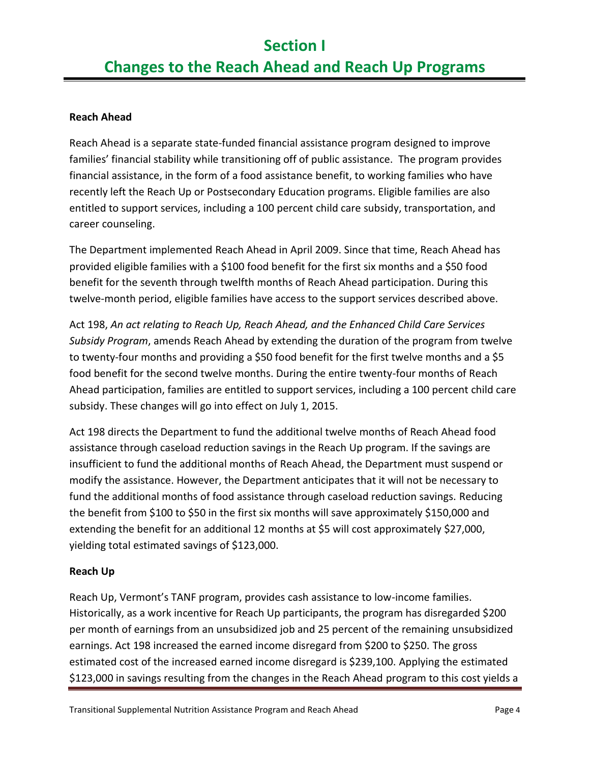#### **Reach Ahead**

Reach Ahead is a separate state-funded financial assistance program designed to improve families' financial stability while transitioning off of public assistance. The program provides financial assistance, in the form of a food assistance benefit, to working families who have recently left the Reach Up or Postsecondary Education programs. Eligible families are also entitled to support services, including a 100 percent child care subsidy, transportation, and career counseling.

The Department implemented Reach Ahead in April 2009. Since that time, Reach Ahead has provided eligible families with a \$100 food benefit for the first six months and a \$50 food benefit for the seventh through twelfth months of Reach Ahead participation. During this twelve-month period, eligible families have access to the support services described above.

Act 198, *An act relating to Reach Up, Reach Ahead, and the Enhanced Child Care Services Subsidy Program*, amends Reach Ahead by extending the duration of the program from twelve to twenty-four months and providing a \$50 food benefit for the first twelve months and a \$5 food benefit for the second twelve months. During the entire twenty-four months of Reach Ahead participation, families are entitled to support services, including a 100 percent child care subsidy. These changes will go into effect on July 1, 2015.

Act 198 directs the Department to fund the additional twelve months of Reach Ahead food assistance through caseload reduction savings in the Reach Up program. If the savings are insufficient to fund the additional months of Reach Ahead, the Department must suspend or modify the assistance. However, the Department anticipates that it will not be necessary to fund the additional months of food assistance through caseload reduction savings. Reducing the benefit from \$100 to \$50 in the first six months will save approximately \$150,000 and extending the benefit for an additional 12 months at \$5 will cost approximately \$27,000, yielding total estimated savings of \$123,000.

#### **Reach Up**

Reach Up, Vermont's TANF program, provides cash assistance to low-income families. Historically, as a work incentive for Reach Up participants, the program has disregarded \$200 per month of earnings from an unsubsidized job and 25 percent of the remaining unsubsidized earnings. Act 198 increased the earned income disregard from \$200 to \$250. The gross estimated cost of the increased earned income disregard is \$239,100. Applying the estimated \$123,000 in savings resulting from the changes in the Reach Ahead program to this cost yields a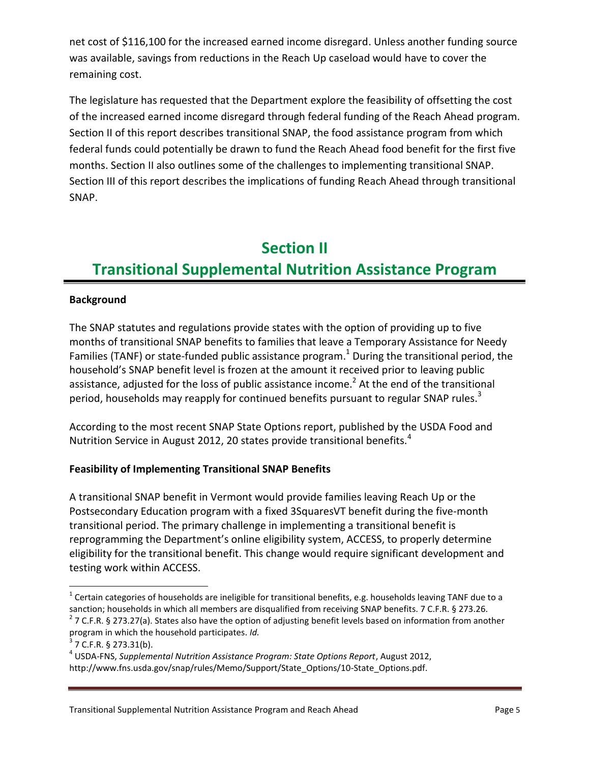net cost of \$116,100 for the increased earned income disregard. Unless another funding source was available, savings from reductions in the Reach Up caseload would have to cover the remaining cost.

The legislature has requested that the Department explore the feasibility of offsetting the cost of the increased earned income disregard through federal funding of the Reach Ahead program. Section II of this report describes transitional SNAP, the food assistance program from which federal funds could potentially be drawn to fund the Reach Ahead food benefit for the first five months. Section II also outlines some of the challenges to implementing transitional SNAP. Section III of this report describes the implications of funding Reach Ahead through transitional SNAP.

# **Section II Transitional Supplemental Nutrition Assistance Program**

#### **Background**

The SNAP statutes and regulations provide states with the option of providing up to five months of transitional SNAP benefits to families that leave a Temporary Assistance for Needy Families (TANF) or state-funded public assistance program.<sup>1</sup> During the transitional period, the household's SNAP benefit level is frozen at the amount it received prior to leaving public assistance, adjusted for the loss of public assistance income.<sup>2</sup> At the end of the transitional period, households may reapply for continued benefits pursuant to regular SNAP rules.<sup>3</sup>

According to the most recent SNAP State Options report, published by the USDA Food and Nutrition Service in August 2012, 20 states provide transitional benefits.<sup>4</sup>

#### **Feasibility of Implementing Transitional SNAP Benefits**

A transitional SNAP benefit in Vermont would provide families leaving Reach Up or the Postsecondary Education program with a fixed 3SquaresVT benefit during the five-month transitional period. The primary challenge in implementing a transitional benefit is reprogramming the Department's online eligibility system, ACCESS, to properly determine eligibility for the transitional benefit. This change would require significant development and testing work within ACCESS.

 $\overline{a}$ 

 $^1$  Certain categories of households are ineligible for transitional benefits, e.g. households leaving TANF due to a sanction; households in which all members are disqualified from receiving SNAP benefits. 7 C.F.R. § 273.26.

 $2$  7 C.F.R. § 273.27(a). States also have the option of adjusting benefit levels based on information from another program in which the household participates. *Id.*

 $3$  7 C.F.R. § 273.31(b).

<sup>4</sup> USDA-FNS, *Supplemental Nutrition Assistance Program: State Options Report*, August 2012, http://www.fns.usda.gov/snap/rules/Memo/Support/State\_Options/10-State\_Options.pdf.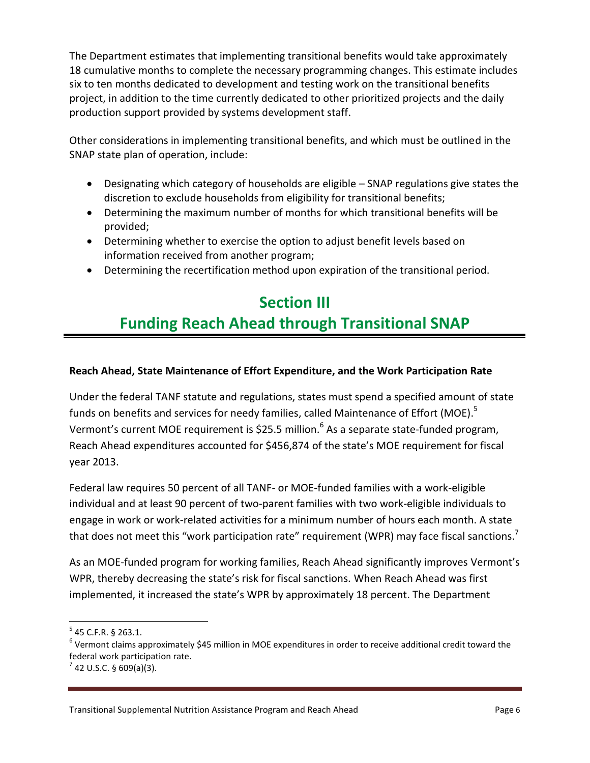The Department estimates that implementing transitional benefits would take approximately 18 cumulative months to complete the necessary programming changes. This estimate includes six to ten months dedicated to development and testing work on the transitional benefits project, in addition to the time currently dedicated to other prioritized projects and the daily production support provided by systems development staff.

Other considerations in implementing transitional benefits, and which must be outlined in the SNAP state plan of operation, include:

- Designating which category of households are eligible SNAP regulations give states the discretion to exclude households from eligibility for transitional benefits;
- Determining the maximum number of months for which transitional benefits will be provided;
- Determining whether to exercise the option to adjust benefit levels based on information received from another program;
- Determining the recertification method upon expiration of the transitional period.

# **Section III Funding Reach Ahead through Transitional SNAP**

#### **Reach Ahead, State Maintenance of Effort Expenditure, and the Work Participation Rate**

Under the federal TANF statute and regulations, states must spend a specified amount of state funds on benefits and services for needy families, called Maintenance of Effort (MOE).<sup>5</sup> Vermont's current MOE requirement is \$25.5 million.<sup>6</sup> As a separate state-funded program, Reach Ahead expenditures accounted for \$456,874 of the state's MOE requirement for fiscal year 2013.

Federal law requires 50 percent of all TANF- or MOE-funded families with a work-eligible individual and at least 90 percent of two-parent families with two work-eligible individuals to engage in work or work-related activities for a minimum number of hours each month. A state that does not meet this "work participation rate" requirement (WPR) may face fiscal sanctions.<sup>7</sup>

As an MOE-funded program for working families, Reach Ahead significantly improves Vermont's WPR, thereby decreasing the state's risk for fiscal sanctions. When Reach Ahead was first implemented, it increased the state's WPR by approximately 18 percent. The Department

 $\overline{\phantom{a}}$ 

 $5$  45 C.F.R. § 263.1.

 $^6$  Vermont claims approximately \$45 million in MOE expenditures in order to receive additional credit toward the federal work participation rate.

 $^7$  42 U.S.C. § 609(a)(3).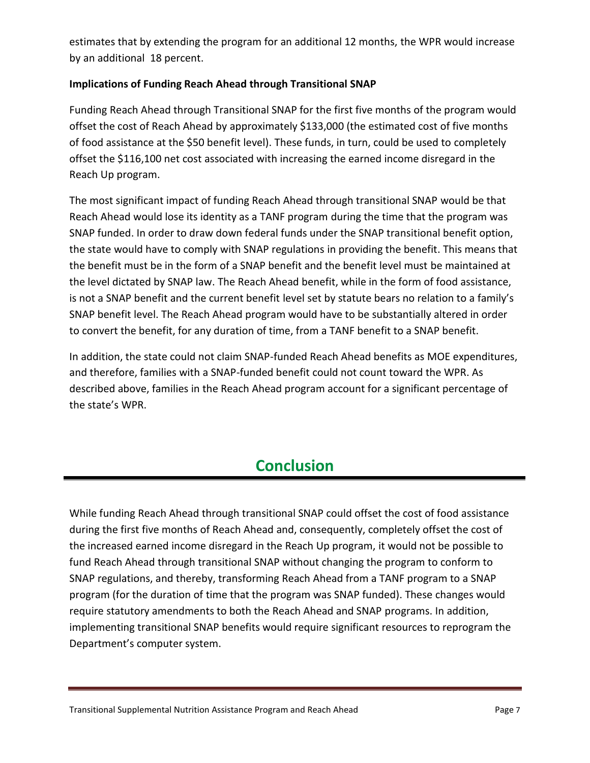estimates that by extending the program for an additional 12 months, the WPR would increase by an additional 18 percent.

#### **Implications of Funding Reach Ahead through Transitional SNAP**

Funding Reach Ahead through Transitional SNAP for the first five months of the program would offset the cost of Reach Ahead by approximately \$133,000 (the estimated cost of five months of food assistance at the \$50 benefit level). These funds, in turn, could be used to completely offset the \$116,100 net cost associated with increasing the earned income disregard in the Reach Up program.

The most significant impact of funding Reach Ahead through transitional SNAP would be that Reach Ahead would lose its identity as a TANF program during the time that the program was SNAP funded. In order to draw down federal funds under the SNAP transitional benefit option, the state would have to comply with SNAP regulations in providing the benefit. This means that the benefit must be in the form of a SNAP benefit and the benefit level must be maintained at the level dictated by SNAP law. The Reach Ahead benefit, while in the form of food assistance, is not a SNAP benefit and the current benefit level set by statute bears no relation to a family's SNAP benefit level. The Reach Ahead program would have to be substantially altered in order to convert the benefit, for any duration of time, from a TANF benefit to a SNAP benefit.

In addition, the state could not claim SNAP-funded Reach Ahead benefits as MOE expenditures, and therefore, families with a SNAP-funded benefit could not count toward the WPR. As described above, families in the Reach Ahead program account for a significant percentage of the state's WPR.

## **Conclusion**

While funding Reach Ahead through transitional SNAP could offset the cost of food assistance during the first five months of Reach Ahead and, consequently, completely offset the cost of the increased earned income disregard in the Reach Up program, it would not be possible to fund Reach Ahead through transitional SNAP without changing the program to conform to SNAP regulations, and thereby, transforming Reach Ahead from a TANF program to a SNAP program (for the duration of time that the program was SNAP funded). These changes would require statutory amendments to both the Reach Ahead and SNAP programs. In addition, implementing transitional SNAP benefits would require significant resources to reprogram the Department's computer system.